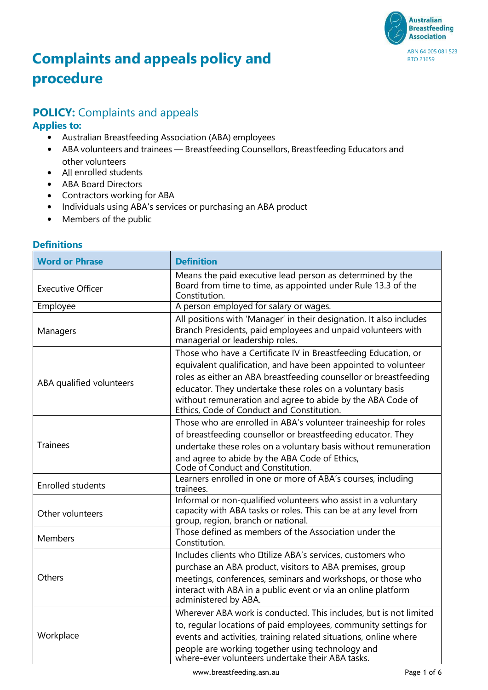

# **Complaints and appeals policy and procedure**

## **POLICY:** Complaints and appeals

#### **Applies to:**

- Australian Breastfeeding Association (ABA) employees
- ABA volunteers and trainees Breastfeeding Counsellors, Breastfeeding Educators and other volunteers
- All enrolled students
- ABA Board Directors
- Contractors working for ABA
- Individuals using ABA's services or purchasing an ABA product
- Members of the public

|--|

| <b>Word or Phrase</b>    | <b>Definition</b>                                                                                                                                                                                                                                                                                                                                                            |
|--------------------------|------------------------------------------------------------------------------------------------------------------------------------------------------------------------------------------------------------------------------------------------------------------------------------------------------------------------------------------------------------------------------|
| <b>Executive Officer</b> | Means the paid executive lead person as determined by the<br>Board from time to time, as appointed under Rule 13.3 of the<br>Constitution.                                                                                                                                                                                                                                   |
| Employee                 | A person employed for salary or wages.                                                                                                                                                                                                                                                                                                                                       |
| Managers                 | All positions with 'Manager' in their designation. It also includes<br>Branch Presidents, paid employees and unpaid volunteers with<br>managerial or leadership roles.                                                                                                                                                                                                       |
| ABA qualified volunteers | Those who have a Certificate IV in Breastfeeding Education, or<br>equivalent qualification, and have been appointed to volunteer<br>roles as either an ABA breastfeeding counsellor or breastfeeding<br>educator. They undertake these roles on a voluntary basis<br>without remuneration and agree to abide by the ABA Code of<br>Ethics, Code of Conduct and Constitution. |
| <b>Trainees</b>          | Those who are enrolled in ABA's volunteer traineeship for roles<br>of breastfeeding counsellor or breastfeeding educator. They<br>undertake these roles on a voluntary basis without remuneration<br>and agree to abide by the ABA Code of Ethics,<br>Code of Conduct and Constitution.                                                                                      |
| <b>Enrolled students</b> | Learners enrolled in one or more of ABA's courses, including<br>trainees.                                                                                                                                                                                                                                                                                                    |
| Other volunteers         | Informal or non-qualified volunteers who assist in a voluntary<br>capacity with ABA tasks or roles. This can be at any level from<br>group, region, branch or national.                                                                                                                                                                                                      |
| Members                  | Those defined as members of the Association under the<br>Constitution.                                                                                                                                                                                                                                                                                                       |
| Others                   | Includes clients who Dtilize ABA's services, customers who<br>purchase an ABA product, visitors to ABA premises, group<br>meetings, conferences, seminars and workshops, or those who<br>interact with ABA in a public event or via an online platform<br>administered by ABA.                                                                                               |
| Workplace                | Wherever ABA work is conducted. This includes, but is not limited<br>to, regular locations of paid employees, community settings for<br>events and activities, training related situations, online where<br>people are working together using technology and<br>where-ever volunteers undertake their ABA tasks.                                                             |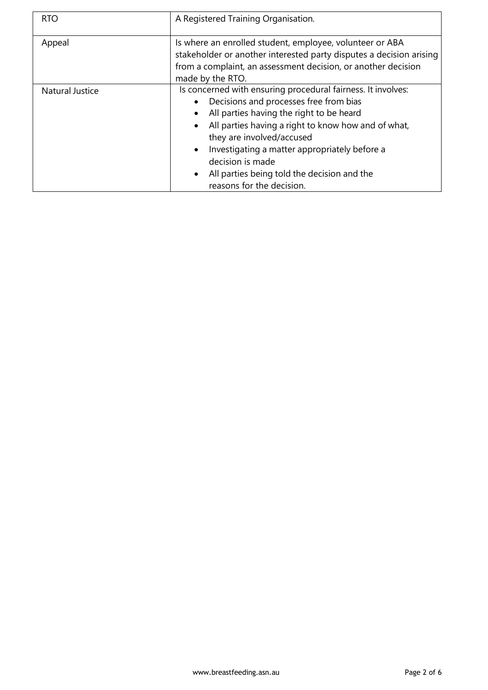| <b>RTO</b>             | A Registered Training Organisation.                                                                                                                                                                                                                                                                                                                                                                                                         |  |
|------------------------|---------------------------------------------------------------------------------------------------------------------------------------------------------------------------------------------------------------------------------------------------------------------------------------------------------------------------------------------------------------------------------------------------------------------------------------------|--|
| Appeal                 | Is where an enrolled student, employee, volunteer or ABA<br>stakeholder or another interested party disputes a decision arising<br>from a complaint, an assessment decision, or another decision<br>made by the RTO.                                                                                                                                                                                                                        |  |
| <b>Natural Justice</b> | Is concerned with ensuring procedural fairness. It involves:<br>Decisions and processes free from bias<br>$\bullet$<br>All parties having the right to be heard<br>All parties having a right to know how and of what,<br>$\bullet$<br>they are involved/accused<br>Investigating a matter appropriately before a<br>$\bullet$<br>decision is made<br>All parties being told the decision and the<br>$\bullet$<br>reasons for the decision. |  |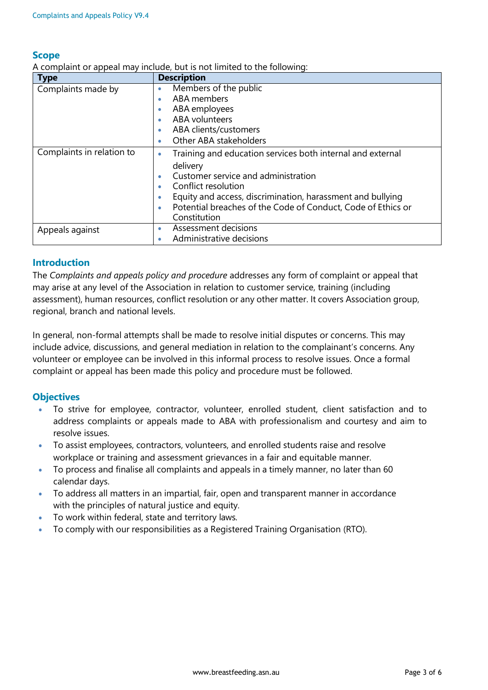#### **Scope**

A complaint or appeal may include, but is not limited to the following:

| <b>Type</b>               | <b>Description</b>                                              |
|---------------------------|-----------------------------------------------------------------|
| Complaints made by        | Members of the public<br>۰                                      |
|                           | ABA members                                                     |
|                           | ABA employees<br>$\bullet$                                      |
|                           | <b>ABA</b> volunteers                                           |
|                           | ABA clients/customers<br>۰                                      |
|                           | Other ABA stakeholders                                          |
| Complaints in relation to | Training and education services both internal and external<br>۰ |
|                           | delivery                                                        |
|                           | Customer service and administration                             |
|                           | Conflict resolution                                             |
|                           | Equity and access, discrimination, harassment and bullying      |
|                           | Potential breaches of the Code of Conduct, Code of Ethics or    |
|                           | Constitution                                                    |
| Appeals against           | Assessment decisions<br>۰                                       |
|                           | Administrative decisions                                        |

#### **Introduction**

The *Complaints and appeals policy and procedure* addresses any form of complaint or appeal that may arise at any level of the Association in relation to customer service, training (including assessment), human resources, conflict resolution or any other matter. It covers Association group, regional, branch and national levels.

In general, non-formal attempts shall be made to resolve initial disputes or concerns. This may include advice, discussions, and general mediation in relation to the complainant's concerns. Any volunteer or employee can be involved in this informal process to resolve issues. Once a formal complaint or appeal has been made this policy and procedure must be followed.

#### **Objectives**

- To strive for employee, contractor, volunteer, enrolled student, client satisfaction and to address complaints or appeals made to ABA with professionalism and courtesy and aim to resolve issues.
- To assist employees, contractors, volunteers, and enrolled students raise and resolve workplace or training and assessment grievances in a fair and equitable manner.
- To process and finalise all complaints and appeals in a timely manner, no later than 60 calendar days.
- To address all matters in an impartial, fair, open and transparent manner in accordance with the principles of natural justice and equity.
- To work within federal, state and territory laws.
- To comply with our responsibilities as a Registered Training Organisation (RTO).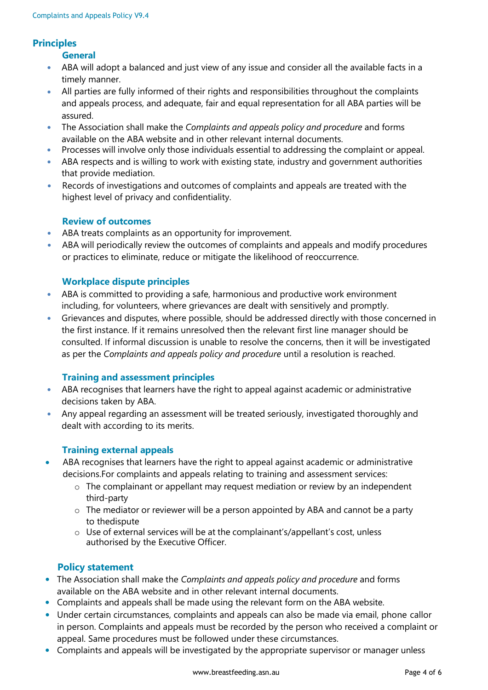#### **Principles**

**General**

- ABA will adopt a balanced and just view of any issue and consider all the available facts in a timely manner.
- All parties are fully informed of their rights and responsibilities throughout the complaints and appeals process, and adequate, fair and equal representation for all ABA parties will be assured.
- The Association shall make the *Complaints and appeals policy and procedure* and forms available on the ABA website and in other relevant internal documents.
- Processes will involve only those individuals essential to addressing the complaint or appeal.
- ABA respects and is willing to work with existing state, industry and government authorities that provide mediation.
- Records of investigations and outcomes of complaints and appeals are treated with the highest level of privacy and confidentiality.

#### **Review of outcomes**

- ABA treats complaints as an opportunity for improvement.
- ABA will periodically review the outcomes of complaints and appeals and modify procedures or practices to eliminate, reduce or mitigate the likelihood of reoccurrence.

#### **Workplace dispute principles**

- ABA is committed to providing a safe, harmonious and productive work environment including, for volunteers, where grievances are dealt with sensitively and promptly.
- Grievances and disputes, where possible, should be addressed directly with those concerned in the first instance. If it remains unresolved then the relevant first line manager should be consulted. If informal discussion is unable to resolve the concerns, then it will be investigated as per the *Complaints and appeals policy and procedure* until a resolution is reached.

#### **Training and assessment principles**

- ABA recognises that learners have the right to appeal against academic or administrative decisions taken by ABA.
- Any appeal regarding an assessment will be treated seriously, investigated thoroughly and dealt with according to its merits.

#### **Training external appeals**

- ABA recognises that learners have the right to appeal against academic or administrative decisions.For complaints and appeals relating to training and assessment services:
	- o The complainant or appellant may request mediation or review by an independent third-party
	- o The mediator or reviewer will be a person appointed by ABA and cannot be a party to thedispute
	- o Use of external services will be at the complainant's/appellant's cost, unless authorised by the Executive Officer.

#### **Policy statement**

- The Association shall make the *Complaints and appeals policy and procedure* and forms available on the ABA website and in other relevant internal documents.
- Complaints and appeals shall be made using the relevant form on the ABA website.
- Under certain circumstances, complaints and appeals can also be made via email, phone callor in person. Complaints and appeals must be recorded by the person who received a complaint or appeal. Same procedures must be followed under these circumstances.
- Complaints and appeals will be investigated by the appropriate supervisor or manager unless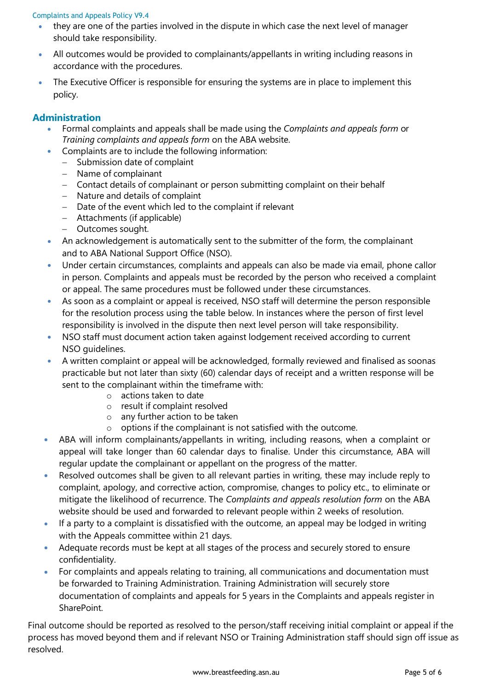#### Complaints and Appeals Policy V9.4

- they are one of the parties involved in the dispute in which case the next level of manager should take responsibility.
- All outcomes would be provided to complainants/appellants in writing including reasons in accordance with the procedures.
- The Executive Officer is responsible for ensuring the systems are in place to implement this policy.

#### **Administration**

- Formal complaints and appeals shall be made using the *Complaints and appeals form* or *Training complaints and appeals form* on the ABA website.
- Complaints are to include the following information:
	- − Submission date of complaint
	- − Name of complainant
	- − Contact details of complainant or person submitting complaint on their behalf
	- − Nature and details of complaint
	- − Date of the event which led to the complaint if relevant
	- − Attachments (if applicable)
	- − Outcomes sought.
- An acknowledgement is automatically sent to the submitter of the form, the complainant and to ABA National Support Office (NSO).
- Under certain circumstances, complaints and appeals can also be made via email, phone callor in person. Complaints and appeals must be recorded by the person who received a complaint or appeal. The same procedures must be followed under these circumstances.
- As soon as a complaint or appeal is received, NSO staff will determine the person responsible for the resolution process using the table below. In instances where the person of first level responsibility is involved in the dispute then next level person will take responsibility.
- NSO staff must document action taken against lodgement received according to current NSO guidelines.
- A written complaint or appeal will be acknowledged, formally reviewed and finalised as soonas practicable but not later than sixty (60) calendar days of receipt and a written response will be sent to the complainant within the timeframe with:
	- o actions taken to date
	- o result if complaint resolved
	- $\circ$  any further action to be taken<br> $\circ$  options if the complainant is n
	- options if the complainant is not satisfied with the outcome.
- ABA will inform complainants/appellants in writing, including reasons, when a complaint or appeal will take longer than 60 calendar days to finalise. Under this circumstance, ABA will regular update the complainant or appellant on the progress of the matter.
- Resolved outcomes shall be given to all relevant parties in writing, these may include reply to complaint, apology, and corrective action, compromise, changes to policy etc., to eliminate or mitigate the likelihood of recurrence. The *Complaints and appeals resolution form* on the ABA website should be used and forwarded to relevant people within 2 weeks of resolution.
- If a party to a complaint is dissatisfied with the outcome, an appeal may be lodged in writing with the Appeals committee within 21 days.
- Adequate records must be kept at all stages of the process and securely stored to ensure confidentiality.
- For complaints and appeals relating to training, all communications and documentation must be forwarded to Training Administration. Training Administration will securely store documentation of complaints and appeals for 5 years in the Complaints and appeals register in **SharePoint**

Final outcome should be reported as resolved to the person/staff receiving initial complaint or appeal if the process has moved beyond them and if relevant NSO or Training Administration staff should sign off issue as resolved.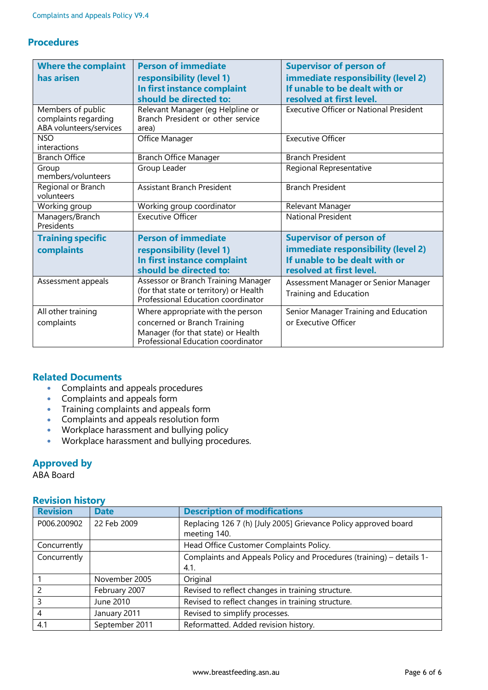### **Procedures**

| <b>Where the complaint</b><br>has arisen                             | <b>Person of immediate</b><br>responsibility (level 1)<br>In first instance complaint<br>should be directed to:                               | <b>Supervisor of person of</b><br>immediate responsibility (level 2)<br>If unable to be dealt with or<br>resolved at first level. |  |
|----------------------------------------------------------------------|-----------------------------------------------------------------------------------------------------------------------------------------------|-----------------------------------------------------------------------------------------------------------------------------------|--|
| Members of public<br>complaints regarding<br>ABA volunteers/services | Relevant Manager (eg Helpline or<br>Branch President or other service<br>area)                                                                | <b>Executive Officer or National President</b>                                                                                    |  |
| <b>NSO</b><br>interactions                                           | Office Manager                                                                                                                                | <b>Executive Officer</b>                                                                                                          |  |
| <b>Branch Office</b>                                                 | <b>Branch Office Manager</b>                                                                                                                  | <b>Branch President</b>                                                                                                           |  |
| Group<br>members/volunteers                                          | Group Leader                                                                                                                                  | Regional Representative                                                                                                           |  |
| Regional or Branch<br>volunteers                                     | <b>Assistant Branch President</b>                                                                                                             | <b>Branch President</b>                                                                                                           |  |
| Working group                                                        | Working group coordinator                                                                                                                     | Relevant Manager                                                                                                                  |  |
| Managers/Branch<br>Presidents                                        | <b>Executive Officer</b>                                                                                                                      | <b>National President</b>                                                                                                         |  |
| <b>Training specific</b><br>complaints                               | <b>Person of immediate</b><br>responsibility (level 1)<br>In first instance complaint<br>should be directed to:                               | <b>Supervisor of person of</b><br>immediate responsibility (level 2)<br>If unable to be dealt with or<br>resolved at first level. |  |
| Assessment appeals                                                   | Assessor or Branch Training Manager<br>(for that state or territory) or Health<br>Professional Education coordinator                          | Assessment Manager or Senior Manager<br>Training and Education                                                                    |  |
| All other training<br>complaints                                     | Where appropriate with the person<br>concerned or Branch Training<br>Manager (for that state) or Health<br>Professional Education coordinator | Senior Manager Training and Education<br>or Executive Officer                                                                     |  |

#### **Related Documents**

- [Complaints](https://www.breastfeeding.asn.au/webform/complaints-and-appeals-form) and appeals procedures
- [Complaints](https://www.breastfeeding.asn.au/webform/complaints-and-appeals-form) and appeals form
- Training [complaints](https://www.breastfeeding.asn.au/webform/training-complaints-and-appeals-form) and appeals form
- Complaints and appeals resolution form
- Workplace harassment and bullying policy
- Workplace harassment and bullying procedures.

#### **Approved by**

ABA Board

#### **Revision history**

| <b>Revision</b>          | <b>Date</b>    | <b>Description of modifications</b>                                             |
|--------------------------|----------------|---------------------------------------------------------------------------------|
| P006.200902              | 22 Feb 2009    | Replacing 126 7 (h) [July 2005] Grievance Policy approved board<br>meeting 140. |
|                          |                |                                                                                 |
| Concurrently             |                | Head Office Customer Complaints Policy.                                         |
| Concurrently             |                | Complaints and Appeals Policy and Procedures (training) - details 1-            |
|                          |                | 4.1.                                                                            |
|                          | November 2005  | Original                                                                        |
| $\overline{\phantom{0}}$ | February 2007  | Revised to reflect changes in training structure.                               |
| 3                        | June 2010      | Revised to reflect changes in training structure.                               |
| -4                       | January 2011   | Revised to simplify processes.                                                  |
| 4.1                      | September 2011 | Reformatted. Added revision history.                                            |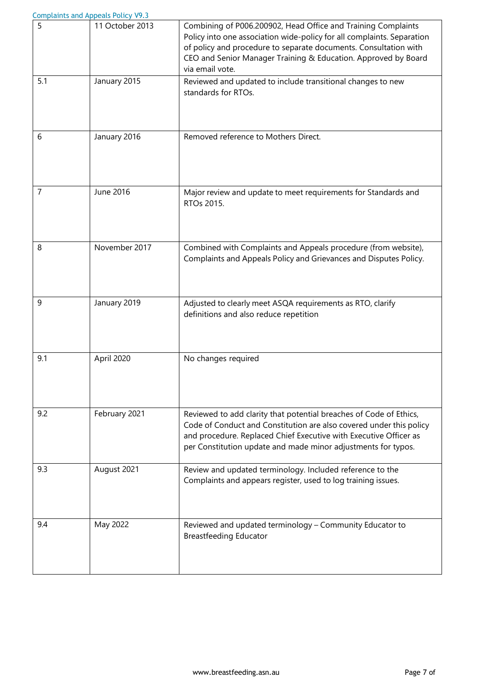|     | <b>Complaints and Appeals Policy V9.3</b> |                                                                                                                                                                                                                                                                                                  |
|-----|-------------------------------------------|--------------------------------------------------------------------------------------------------------------------------------------------------------------------------------------------------------------------------------------------------------------------------------------------------|
| 5   | 11 October 2013                           | Combining of P006.200902, Head Office and Training Complaints<br>Policy into one association wide-policy for all complaints. Separation<br>of policy and procedure to separate documents. Consultation with<br>CEO and Senior Manager Training & Education. Approved by Board<br>via email vote. |
| 5.1 | January 2015                              | Reviewed and updated to include transitional changes to new<br>standards for RTOs.                                                                                                                                                                                                               |
| 6   | January 2016                              | Removed reference to Mothers Direct.                                                                                                                                                                                                                                                             |
| 7   | June 2016                                 | Major review and update to meet requirements for Standards and<br>RTOs 2015.                                                                                                                                                                                                                     |
| 8   | November 2017                             | Combined with Complaints and Appeals procedure (from website),<br>Complaints and Appeals Policy and Grievances and Disputes Policy.                                                                                                                                                              |
| 9   | January 2019                              | Adjusted to clearly meet ASQA requirements as RTO, clarify<br>definitions and also reduce repetition                                                                                                                                                                                             |
| 9.1 | April 2020                                | No changes required                                                                                                                                                                                                                                                                              |
| 9.2 | February 2021                             | Reviewed to add clarity that potential breaches of Code of Ethics,<br>Code of Conduct and Constitution are also covered under this policy<br>and procedure. Replaced Chief Executive with Executive Officer as<br>per Constitution update and made minor adjustments for typos.                  |
| 9.3 | August 2021                               | Review and updated terminology. Included reference to the<br>Complaints and appears register, used to log training issues.                                                                                                                                                                       |
| 9.4 | May 2022                                  | Reviewed and updated terminology - Community Educator to<br><b>Breastfeeding Educator</b>                                                                                                                                                                                                        |